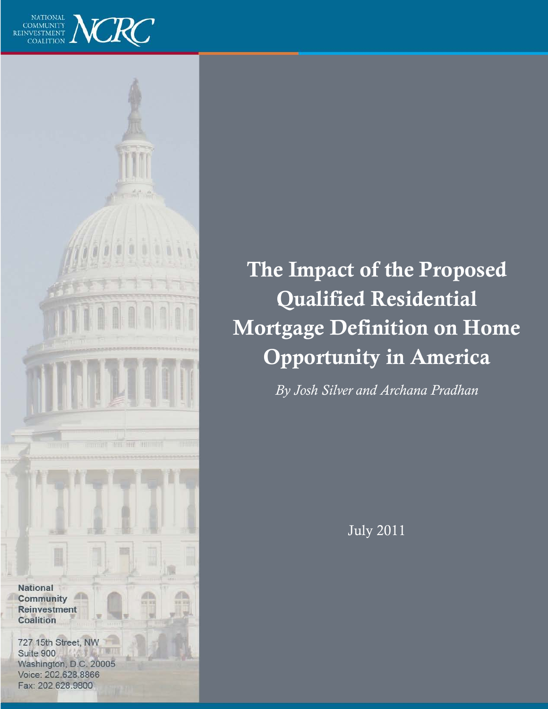



The Impact of the Proposed Qualified Residential Mortgage Definition on Home Opportunity in America

*By Josh Silver and Archana Pradhan*

July 2011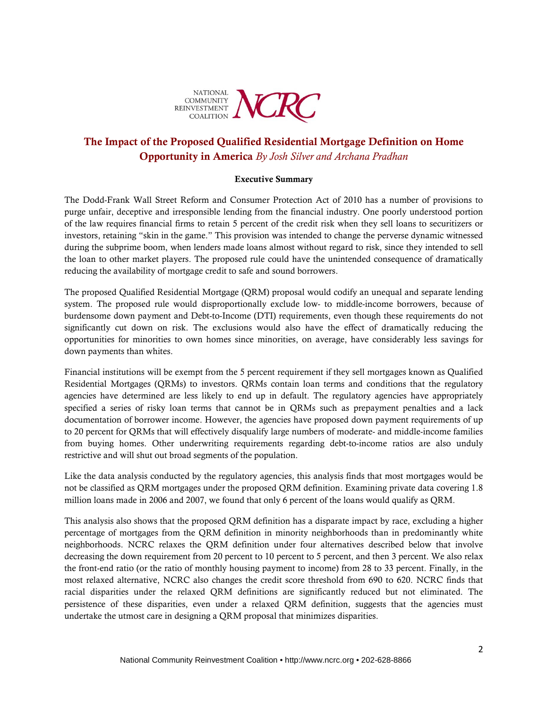

# The Impact of the Proposed Qualified Residential Mortgage Definition on Home Opportunity in America *By Josh Silver and Archana Pradhan*

#### Executive Summary

The Dodd-Frank Wall Street Reform and Consumer Protection Act of 2010 has a number of provisions to purge unfair, deceptive and irresponsible lending from the financial industry. One poorly understood portion of the law requires financial firms to retain 5 percent of the credit risk when they sell loans to securitizers or investors, retaining "skin in the game." This provision was intended to change the perverse dynamic witnessed during the subprime boom, when lenders made loans almost without regard to risk, since they intended to sell the loan to other market players. The proposed rule could have the unintended consequence of dramatically reducing the availability of mortgage credit to safe and sound borrowers.

The proposed Qualified Residential Mortgage (QRM) proposal would codify an unequal and separate lending system. The proposed rule would disproportionally exclude low- to middle-income borrowers, because of burdensome down payment and Debt-to-Income (DTI) requirements, even though these requirements do not significantly cut down on risk. The exclusions would also have the effect of dramatically reducing the opportunities for minorities to own homes since minorities, on average, have considerably less savings for down payments than whites.

Financial institutions will be exempt from the 5 percent requirement if they sell mortgages known as Qualified Residential Mortgages (QRMs) to investors. QRMs contain loan terms and conditions that the regulatory agencies have determined are less likely to end up in default. The regulatory agencies have appropriately specified a series of risky loan terms that cannot be in QRMs such as prepayment penalties and a lack documentation of borrower income. However, the agencies have proposed down payment requirements of up to 20 percent for QRMs that will effectively disqualify large numbers of moderate- and middle-income families from buying homes. Other underwriting requirements regarding debt-to-income ratios are also unduly restrictive and will shut out broad segments of the population.

Like the data analysis conducted by the regulatory agencies, this analysis finds that most mortgages would be not be classified as QRM mortgages under the proposed QRM definition. Examining private data covering 1.8 million loans made in 2006 and 2007, we found that only 6 percent of the loans would qualify as QRM.

This analysis also shows that the proposed QRM definition has a disparate impact by race, excluding a higher percentage of mortgages from the QRM definition in minority neighborhoods than in predominantly white neighborhoods. NCRC relaxes the QRM definition under four alternatives described below that involve decreasing the down requirement from 20 percent to 10 percent to 5 percent, and then 3 percent. We also relax the front-end ratio (or the ratio of monthly housing payment to income) from 28 to 33 percent. Finally, in the most relaxed alternative, NCRC also changes the credit score threshold from 690 to 620. NCRC finds that racial disparities under the relaxed QRM definitions are significantly reduced but not eliminated. The persistence of these disparities, even under a relaxed QRM definition, suggests that the agencies must undertake the utmost care in designing a QRM proposal that minimizes disparities.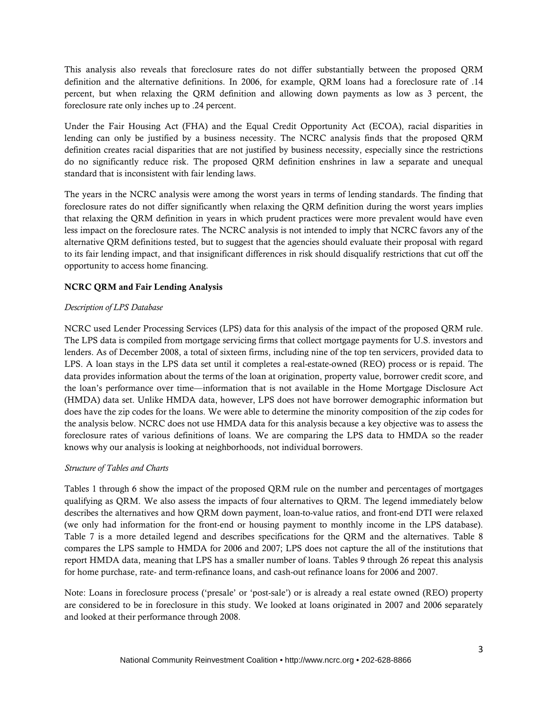This analysis also reveals that foreclosure rates do not differ substantially between the proposed QRM definition and the alternative definitions. In 2006, for example, QRM loans had a foreclosure rate of .14 percent, but when relaxing the QRM definition and allowing down payments as low as 3 percent, the foreclosure rate only inches up to .24 percent.

Under the Fair Housing Act (FHA) and the Equal Credit Opportunity Act (ECOA), racial disparities in lending can only be justified by a business necessity. The NCRC analysis finds that the proposed QRM definition creates racial disparities that are not justified by business necessity, especially since the restrictions do no significantly reduce risk. The proposed QRM definition enshrines in law a separate and unequal standard that is inconsistent with fair lending laws.

The years in the NCRC analysis were among the worst years in terms of lending standards. The finding that foreclosure rates do not differ significantly when relaxing the QRM definition during the worst years implies that relaxing the QRM definition in years in which prudent practices were more prevalent would have even less impact on the foreclosure rates. The NCRC analysis is not intended to imply that NCRC favors any of the alternative QRM definitions tested, but to suggest that the agencies should evaluate their proposal with regard to its fair lending impact, and that insignificant differences in risk should disqualify restrictions that cut off the opportunity to access home financing.

# NCRC QRM and Fair Lending Analysis

### *Description of LPS Database*

NCRC used Lender Processing Services (LPS) data for this analysis of the impact of the proposed QRM rule. The LPS data is compiled from mortgage servicing firms that collect mortgage payments for U.S. investors and lenders. As of December 2008, a total of sixteen firms, including nine of the top ten servicers, provided data to LPS. A loan stays in the LPS data set until it completes a real-estate-owned (REO) process or is repaid. The data provides information about the terms of the loan at origination, property value, borrower credit score, and the loan's performance over time—information that is not available in the Home Mortgage Disclosure Act (HMDA) data set. Unlike HMDA data, however, LPS does not have borrower demographic information but does have the zip codes for the loans. We were able to determine the minority composition of the zip codes for the analysis below. NCRC does not use HMDA data for this analysis because a key objective was to assess the foreclosure rates of various definitions of loans. We are comparing the LPS data to HMDA so the reader knows why our analysis is looking at neighborhoods, not individual borrowers.

### *Structure of Tables and Charts*

Tables 1 through 6 show the impact of the proposed QRM rule on the number and percentages of mortgages qualifying as QRM. We also assess the impacts of four alternatives to QRM. The legend immediately below describes the alternatives and how QRM down payment, loan-to-value ratios, and front-end DTI were relaxed (we only had information for the front-end or housing payment to monthly income in the LPS database). Table 7 is a more detailed legend and describes specifications for the QRM and the alternatives. Table 8 compares the LPS sample to HMDA for 2006 and 2007; LPS does not capture the all of the institutions that report HMDA data, meaning that LPS has a smaller number of loans. Tables 9 through 26 repeat this analysis for home purchase, rate- and term-refinance loans, and cash-out refinance loans for 2006 and 2007.

Note: Loans in foreclosure process ('presale' or 'post-sale') or is already a real estate owned (REO) property are considered to be in foreclosure in this study. We looked at loans originated in 2007 and 2006 separately and looked at their performance through 2008.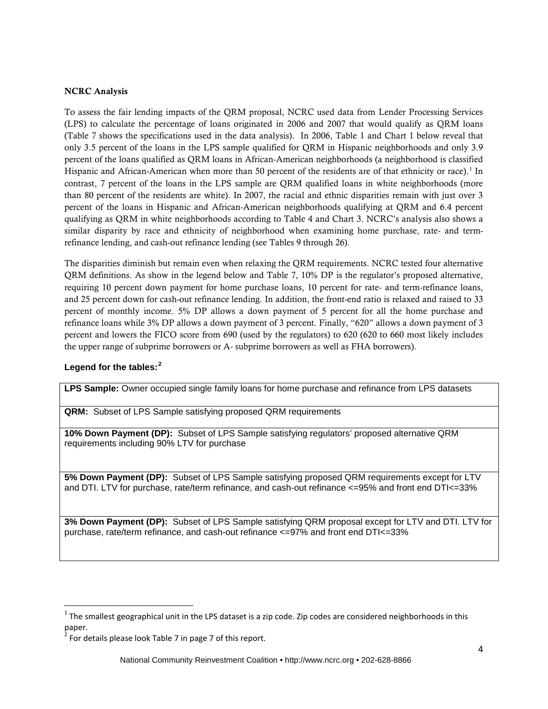#### NCRC Analysis

To assess the fair lending impacts of the QRM proposal, NCRC used data from Lender Processing Services (LPS) to calculate the percentage of loans originated in 2006 and 2007 that would qualify as QRM loans (Table 7 shows the specifications used in the data analysis). In 2006, Table 1 and Chart 1 below reveal that only 3.5 percent of the loans in the LPS sample qualified for QRM in Hispanic neighborhoods and only 3.9 percent of the loans qualified as QRM loans in African-American neighborhoods (a neighborhood is classified Hispanic and African-American when more than 50 percent of the residents are of that ethnicity or race).<sup>[1](#page-3-0)</sup> In contrast, 7 percent of the loans in the LPS sample are QRM qualified loans in white neighborhoods (more than 80 percent of the residents are white). In 2007, the racial and ethnic disparities remain with just over 3 percent of the loans in Hispanic and African-American neighborhoods qualifying at QRM and 6.4 percent qualifying as QRM in white neighborhoods according to Table 4 and Chart 3. NCRC's analysis also shows a similar disparity by race and ethnicity of neighborhood when examining home purchase, rate- and termrefinance lending, and cash-out refinance lending (see Tables 9 through 26).

The disparities diminish but remain even when relaxing the QRM requirements. NCRC tested four alternative QRM definitions. As show in the legend below and Table 7, 10% DP is the regulator's proposed alternative, requiring 10 percent down payment for home purchase loans, 10 percent for rate- and term-refinance loans, and 25 percent down for cash-out refinance lending. In addition, the front-end ratio is relaxed and raised to 33 percent of monthly income. 5% DP allows a down payment of 5 percent for all the home purchase and refinance loans while 3% DP allows a down payment of 3 percent. Finally, "620" allows a down payment of 3 percent and lowers the FICO score from 690 (used by the regulators) to 620 (620 to 660 most likely includes the upper range of subprime borrowers or A- subprime borrowers as well as FHA borrowers).

# **Legend for the tables:[2](#page-3-1)**

**LPS Sample:** Owner occupied single family loans for home purchase and refinance from LPS datasets

**QRM:** Subset of LPS Sample satisfying proposed QRM requirements

**10% Down Payment (DP):** Subset of LPS Sample satisfying regulators' proposed alternative QRM requirements including 90% LTV for purchase

**5% Down Payment (DP):** Subset of LPS Sample satisfying proposed QRM requirements except for LTV and DTI. LTV for purchase, rate/term refinance, and cash-out refinance <=95% and front end DTI<=33%

**3% Down Payment (DP):** Subset of LPS Sample satisfying QRM proposal except for LTV and DTI. LTV for purchase, rate/term refinance, and cash-out refinance <=97% and front end DTI<=33%

<span id="page-3-0"></span> $1$  The smallest geographical unit in the LPS dataset is a zip code. Zip codes are considered neighborhoods in this paper.

<span id="page-3-1"></span> $2^{2}$  For details please look Table 7 in page 7 of this report.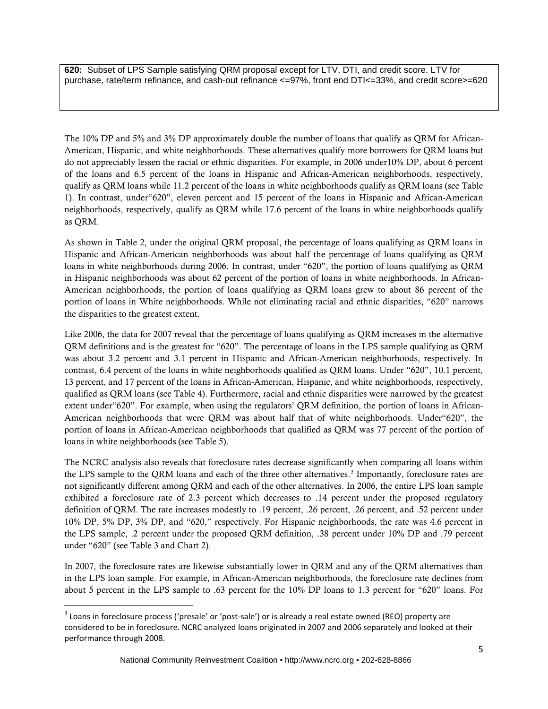**620:** Subset of LPS Sample satisfying QRM proposal except for LTV, DTI, and credit score. LTV for purchase, rate/term refinance, and cash-out refinance <=97%, front end DTI<=33%, and credit score>=620

The 10% DP and 5% and 3% DP approximately double the number of loans that qualify as QRM for African-American, Hispanic, and white neighborhoods. These alternatives qualify more borrowers for QRM loans but do not appreciably lessen the racial or ethnic disparities. For example, in 2006 under10% DP, about 6 percent of the loans and 6.5 percent of the loans in Hispanic and African-American neighborhoods, respectively, qualify as QRM loans while 11.2 percent of the loans in white neighborhoods qualify as QRM loans (see Table 1). In contrast, under"620", eleven percent and 15 percent of the loans in Hispanic and African-American neighborhoods, respectively, qualify as QRM while 17.6 percent of the loans in white neighborhoods qualify as QRM.

As shown in Table 2, under the original QRM proposal, the percentage of loans qualifying as QRM loans in Hispanic and African-American neighborhoods was about half the percentage of loans qualifying as QRM loans in white neighborhoods during 2006. In contrast, under "620", the portion of loans qualifying as QRM in Hispanic neighborhoods was about 62 percent of the portion of loans in white neighborhoods. In African-American neighborhoods, the portion of loans qualifying as QRM loans grew to about 86 percent of the portion of loans in White neighborhoods. While not eliminating racial and ethnic disparities, "620" narrows the disparities to the greatest extent.

Like 2006, the data for 2007 reveal that the percentage of loans qualifying as QRM increases in the alternative QRM definitions and is the greatest for "620". The percentage of loans in the LPS sample qualifying as QRM was about 3.2 percent and 3.1 percent in Hispanic and African-American neighborhoods, respectively. In contrast, 6.4 percent of the loans in white neighborhoods qualified as QRM loans. Under "620", 10.1 percent, 13 percent, and 17 percent of the loans in African-American, Hispanic, and white neighborhoods, respectively, qualified as QRM loans (see Table 4). Furthermore, racial and ethnic disparities were narrowed by the greatest extent under"620". For example, when using the regulators' QRM definition, the portion of loans in African-American neighborhoods that were QRM was about half that of white neighborhoods. Under"620", the portion of loans in African-American neighborhoods that qualified as QRM was 77 percent of the portion of loans in white neighborhoods (see Table 5).

The NCRC analysis also reveals that foreclosure rates decrease significantly when comparing all loans within the LPS sample to the QRM loans and each of the three other alternatives.<sup>[3](#page-4-0)</sup> Importantly, foreclosure rates are not significantly different among QRM and each of the other alternatives. In 2006, the entire LPS loan sample exhibited a foreclosure rate of 2.3 percent which decreases to .14 percent under the proposed regulatory definition of QRM. The rate increases modestly to .19 percent, .26 percent, .26 percent, and .52 percent under 10% DP, 5% DP, 3% DP, and "620," respectively. For Hispanic neighborhoods, the rate was 4.6 percent in the LPS sample, .2 percent under the proposed QRM definition, .38 percent under 10% DP and .79 percent under "620" (see Table 3 and Chart 2).

In 2007, the foreclosure rates are likewise substantially lower in QRM and any of the QRM alternatives than in the LPS loan sample. For example, in African-American neighborhoods, the foreclosure rate declines from about 5 percent in the LPS sample to .63 percent for the 10% DP loans to 1.3 percent for "620" loans. For

<span id="page-4-0"></span><sup>&</sup>lt;sup>3</sup> Loans in foreclosure process ('presale' or 'post-sale') or is already a real estate owned (REO) property are considered to be in foreclosure. NCRC analyzed loans originated in 2007 and 2006 separately and looked at their performance through 2008.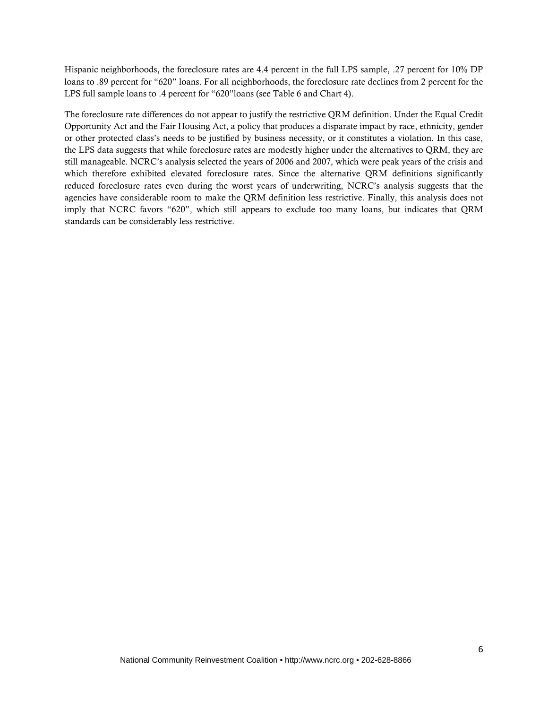Hispanic neighborhoods, the foreclosure rates are 4.4 percent in the full LPS sample, .27 percent for 10% DP loans to .89 percent for "620" loans. For all neighborhoods, the foreclosure rate declines from 2 percent for the LPS full sample loans to .4 percent for "620"loans (see Table 6 and Chart 4).

The foreclosure rate differences do not appear to justify the restrictive QRM definition. Under the Equal Credit Opportunity Act and the Fair Housing Act, a policy that produces a disparate impact by race, ethnicity, gender or other protected class's needs to be justified by business necessity, or it constitutes a violation. In this case, the LPS data suggests that while foreclosure rates are modestly higher under the alternatives to QRM, they are still manageable. NCRC's analysis selected the years of 2006 and 2007, which were peak years of the crisis and which therefore exhibited elevated foreclosure rates. Since the alternative QRM definitions significantly reduced foreclosure rates even during the worst years of underwriting, NCRC's analysis suggests that the agencies have considerable room to make the QRM definition less restrictive. Finally, this analysis does not imply that NCRC favors "620", which still appears to exclude too many loans, but indicates that QRM standards can be considerably less restrictive.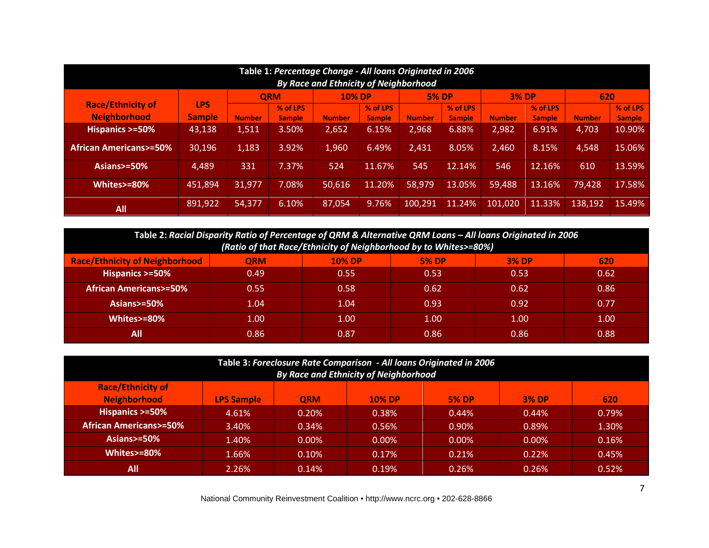| Table 1: Percentage Change - All loans Originated in 2006<br><b>By Race and Ethnicity of Neighborhood</b> |               |               |               |               |               |               |               |               |          |               |               |  |
|-----------------------------------------------------------------------------------------------------------|---------------|---------------|---------------|---------------|---------------|---------------|---------------|---------------|----------|---------------|---------------|--|
|                                                                                                           |               |               | <b>QRM</b>    | <b>10% DP</b> |               | <b>5% DP</b>  |               | <b>3% DP</b>  |          | 620           |               |  |
| <b>Race/Ethnicity of</b>                                                                                  | <b>LPS</b>    |               | % of LPS      |               | % of LPS      |               | % of LPS      |               | % of LPS |               | % of LPS      |  |
| <b>Neighborhood</b>                                                                                       | <b>Sample</b> | <b>Number</b> | <b>Sample</b> | <b>Number</b> | <b>Sample</b> | <b>Number</b> | <b>Sample</b> | <b>Number</b> | Sample   | <b>Number</b> | <b>Sample</b> |  |
| Hispanics >=50%                                                                                           | 43.138        | 1,511         | 3.50%         | 2,652         | 6.15%         | 2,968         | 6.88%         | 2,982         | 6.91%    | 4,703         | 10.90%        |  |
| <b>African Americans&gt;=50%</b>                                                                          | 30,196        | 1,183         | 3.92%         | 1,960         | 6.49%         | 2,431         | 8.05%         | 2,460         | 8.15%    | 4,548         | 15.06%        |  |
| Asians>=50%                                                                                               | 4,489         | 331           | 7.37%         | 524           | 11.67%        | 545           | 12.14%        | 546           | 12.16%   | 610           | 13.59%        |  |
| Whites>=80%                                                                                               | 451.894       | 31.977        | 7.08%         | 50.616        | 11.20%        | 58.979        | 13.05%        | 59.488        | 13.16%   | 79,428        | 17.58%        |  |
| All                                                                                                       | 891,922       | 54,377        | 6.10%         | 87,054        | 9.76%         | 100.291       | 11.24%        | 101.020       | 11.33%   | 138,192       | 15.49%        |  |

| Table 2: Racial Disparity Ratio of Percentage of QRM & Alternative QRM Loans - All loans Originated in 2006 |            |               |              |              |      |  |  |  |  |  |  |
|-------------------------------------------------------------------------------------------------------------|------------|---------------|--------------|--------------|------|--|--|--|--|--|--|
| (Ratio of that Race/Ethnicity of Neighborhood by to Whites>=80%)                                            |            |               |              |              |      |  |  |  |  |  |  |
| <b>Race/Ethnicity of Neighborhood</b>                                                                       | <b>ORM</b> | <b>10% DP</b> | <b>5% DP</b> | <b>3% DP</b> | 620  |  |  |  |  |  |  |
| Hispanics >=50%                                                                                             | 0.49       | 0.55          | 0.53         | 0.53         | 0.62 |  |  |  |  |  |  |
| <b>African Americans&gt;=50%</b>                                                                            | 0.55       | 0.58          | 0.62         | 0.62         | 0.86 |  |  |  |  |  |  |
| Asians $> = 50\%$                                                                                           | 1.04       | 1.04          | 0.93         | 0.92         | 0.77 |  |  |  |  |  |  |
| Whites>=80%                                                                                                 | 1.00       | 1.00          | 1.00         | 1.00         | 1.00 |  |  |  |  |  |  |
| All                                                                                                         | 0.86       | 0.87          | 0.86         | 0.86         | 0.88 |  |  |  |  |  |  |

| Table 3: Foreclosure Rate Comparison - All loans Originated in 2006<br>By Race and Ethnicity of Neighborhood |                   |            |               |              |              |       |  |  |  |  |  |
|--------------------------------------------------------------------------------------------------------------|-------------------|------------|---------------|--------------|--------------|-------|--|--|--|--|--|
| <b>Race/Ethnicity of</b>                                                                                     |                   |            |               |              |              |       |  |  |  |  |  |
| <b>Neighborhood</b>                                                                                          | <b>LPS Sample</b> | <b>QRM</b> | <b>10% DP</b> | <b>5% DP</b> | <b>3% DP</b> | 620   |  |  |  |  |  |
| Hispanics >=50%                                                                                              | 4.61%             | 0.20%      | 0.38%         | 0.44%        | 0.44%        | 0.79% |  |  |  |  |  |
| <b>African Americans&gt;=50%</b>                                                                             | 3.40%             | 0.34%      | 0.56%         | $0.90\%$     | 0.89%        | 1.30% |  |  |  |  |  |
| Asians $>=50\%$                                                                                              | 1.40%             | $0.00\%$   | $0.00\%$      | $0.00\%$     | $0.00\%$     | 0.16% |  |  |  |  |  |
| Whites>=80%                                                                                                  | 1.66%             | 0.10%      | 0.17%         | 0.21%        | 0.22%        | 0.45% |  |  |  |  |  |
| All                                                                                                          | 2.26%             | 0.14%      | 0.19%         | 0.26%        | 0.26%        | 0.52% |  |  |  |  |  |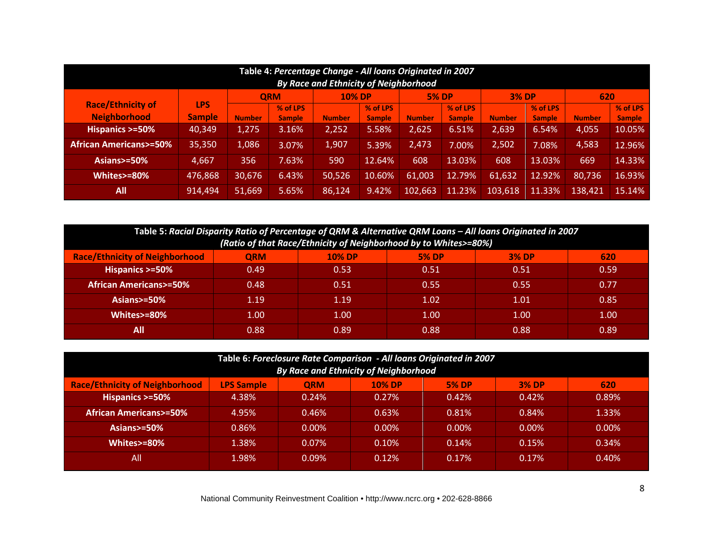| Table 4: Percentage Change - All loans Originated in 2007<br><b>By Race and Ethnicity of Neighborhood</b> |               |               |               |               |               |               |               |               |               |               |               |  |
|-----------------------------------------------------------------------------------------------------------|---------------|---------------|---------------|---------------|---------------|---------------|---------------|---------------|---------------|---------------|---------------|--|
|                                                                                                           |               |               | <b>ORM</b>    | <b>10% DP</b> |               | <b>5% DP</b>  |               | <b>3% DP</b>  |               | 620           |               |  |
| <b>Race/Ethnicity of</b>                                                                                  | <b>LPS</b>    |               | % of LPS      |               | % of LPS      |               | % of LPS      |               | % of LPS      |               | % of LPS      |  |
| <b>Neighborhood</b>                                                                                       | <b>Sample</b> | <b>Number</b> | <b>Sample</b> | <b>Number</b> | <b>Sample</b> | <b>Number</b> | <b>Sample</b> | <b>Number</b> | <b>Sample</b> | <b>Number</b> | <b>Sample</b> |  |
| Hispanics >=50%                                                                                           | 40,349        | 1,275         | 3.16%         | 2,252         | 5.58%         | 2,625         | 6.51%         | 2,639         | 6.54%         | 4,055         | 10.05%        |  |
| <b>African Americans&gt;=50%</b>                                                                          | 35,350        | 1,086         | 3.07%         | 1,907         | 5.39%         | 2,473         | 7.00%         | 2,502         | 7.08%         | 4,583         | 12.96%        |  |
| Asians $>=50\%$                                                                                           | 4,667         | 356           | 7.63%         | 590           | 12.64%        | 608           | 13.03%        | 608           | 13.03%        | 669           | 14.33%        |  |
| Whites>=80%                                                                                               | 476,868       | 30,676        | 6.43%         | 50,526        | 10.60%        | 61,003        | 12.79%        | 61,632        | 12.92%        | 80,736        | 16.93%        |  |
| All                                                                                                       | 914,494       | 51,669        | 5.65%         | 86,124        | 9.42%         | 102,663       | 11.23%        | 103,618       | 11.33%        | 138,421       | 15.14%        |  |

| Table 5: Racial Disparity Ratio of Percentage of QRM & Alternative QRM Loans - All loans Originated in 2007<br>(Ratio of that Race/Ethnicity of Neighborhood by to Whites>=80%) |            |               |              |              |      |  |  |  |  |  |  |
|---------------------------------------------------------------------------------------------------------------------------------------------------------------------------------|------------|---------------|--------------|--------------|------|--|--|--|--|--|--|
| <b>Race/Ethnicity of Neighborhood</b>                                                                                                                                           | <b>QRM</b> | <b>10% DP</b> | <b>5% DP</b> | <b>3% DP</b> | 620  |  |  |  |  |  |  |
| Hispanics >=50%                                                                                                                                                                 | 0.49       | 0.53          | 0.51         | 0.51         | 0.59 |  |  |  |  |  |  |
| <b>African Americans&gt;=50%</b>                                                                                                                                                | 0.48       | 0.51          | 0.55         | 0.55         | 0.77 |  |  |  |  |  |  |
| Asians $> = 50\%$                                                                                                                                                               | 1.19       | 1.19          | 1.02         | 1.01         | 0.85 |  |  |  |  |  |  |
| Whites>=80%                                                                                                                                                                     | 1.00       | 1.00          | 1.00         | 1.00         | 1.00 |  |  |  |  |  |  |
| All                                                                                                                                                                             | 0.88       | 0.89          | 0.88         | 0.88         | 0.89 |  |  |  |  |  |  |

| Table 6: Foreclosure Rate Comparison - All loans Originated in 2007<br><b>By Race and Ethnicity of Neighborhood</b> |                                                                                         |          |          |          |          |          |  |  |  |  |  |  |
|---------------------------------------------------------------------------------------------------------------------|-----------------------------------------------------------------------------------------|----------|----------|----------|----------|----------|--|--|--|--|--|--|
| <b>Race/Ethnicity of Neighborhood</b>                                                                               | <b>LPS Sample</b><br>620<br><b>3% DP</b><br><b>QRM</b><br><b>10% DP</b><br><b>5% DP</b> |          |          |          |          |          |  |  |  |  |  |  |
| Hispanics >=50%                                                                                                     | 4.38%                                                                                   | 0.24%    | 0.27%    | 0.42%    | 0.42%    | 0.89%    |  |  |  |  |  |  |
| <b>African Americans&gt;=50%</b>                                                                                    | 4.95%                                                                                   | 0.46%    | 0.63%    | 0.81%    | 0.84%    | 1.33%    |  |  |  |  |  |  |
| Asians $> = 50\%$                                                                                                   | $0.86\%$                                                                                | $0.00\%$ | $0.00\%$ | $0.00\%$ | $0.00\%$ | $0.00\%$ |  |  |  |  |  |  |
| Whites>=80%                                                                                                         | 1.38%                                                                                   | $0.07\%$ | 0.10%    | 0.14%    | 0.15%    | 0.34%    |  |  |  |  |  |  |
| All                                                                                                                 | 1.98%                                                                                   | $0.09\%$ | 0.12%    | 0.17%    | 0.17%    | 0.40%    |  |  |  |  |  |  |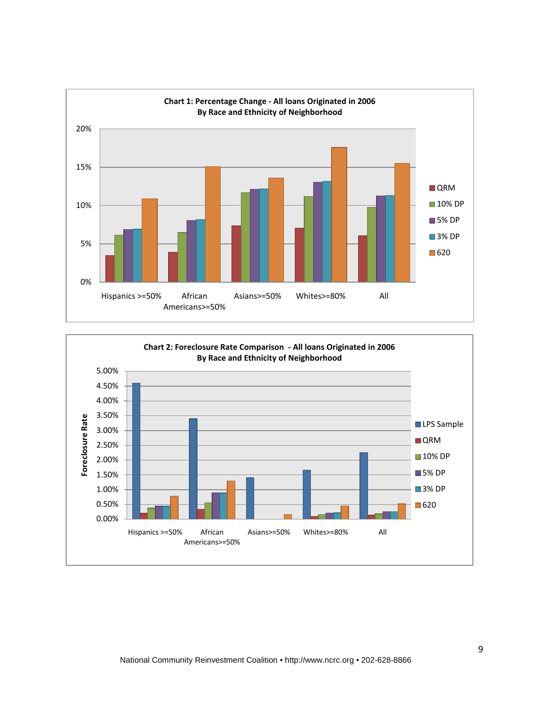

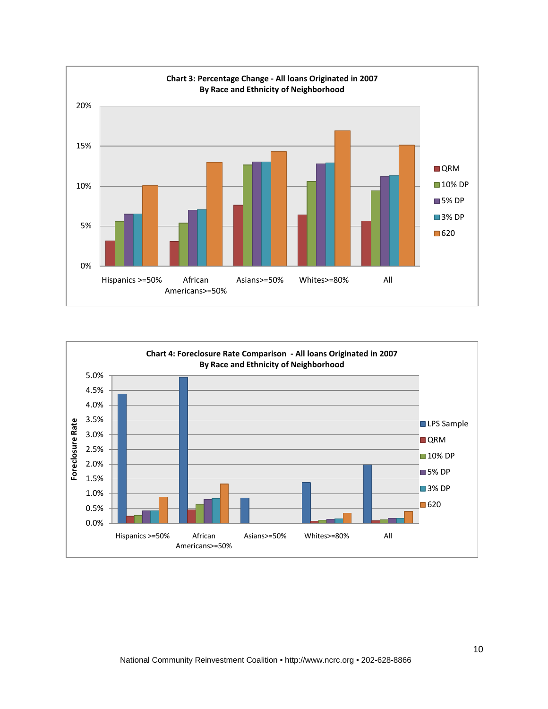

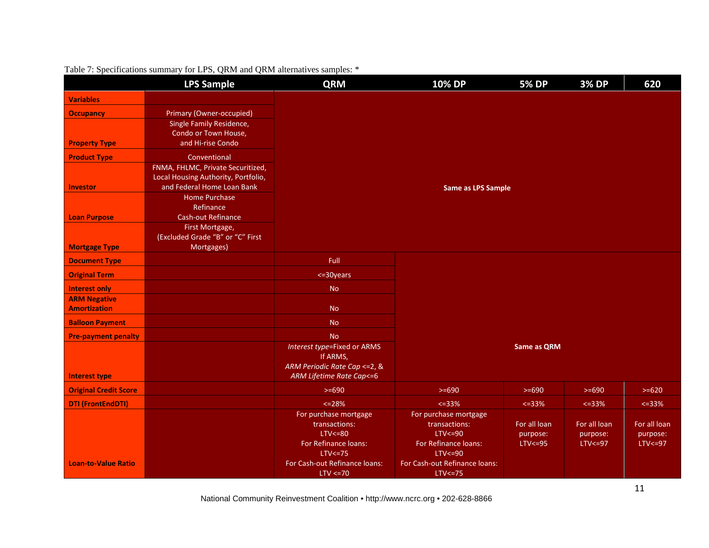|                              | <b>LPS Sample</b>                                                 | <b>QRM</b>                                | <b>10% DP</b>                        | <b>5% DP</b>       | <b>3% DP</b> | 620          |
|------------------------------|-------------------------------------------------------------------|-------------------------------------------|--------------------------------------|--------------------|--------------|--------------|
| <b>Variables</b>             |                                                                   |                                           |                                      |                    |              |              |
| <b>Occupancy</b>             | Primary (Owner-occupied)                                          |                                           |                                      |                    |              |              |
|                              | Single Family Residence,                                          |                                           |                                      |                    |              |              |
|                              | Condo or Town House,                                              |                                           |                                      |                    |              |              |
| <b>Property Type</b>         | and Hi-rise Condo                                                 |                                           |                                      |                    |              |              |
| <b>Product Type</b>          | Conventional                                                      |                                           |                                      |                    |              |              |
|                              | FNMA, FHLMC, Private Securitized,                                 |                                           |                                      |                    |              |              |
| <b>Investor</b>              | Local Housing Authority, Portfolio,<br>and Federal Home Loan Bank |                                           | <b>Same as LPS Sample</b>            |                    |              |              |
|                              | <b>Home Purchase</b>                                              |                                           |                                      |                    |              |              |
|                              | Refinance                                                         |                                           |                                      |                    |              |              |
| <b>Loan Purpose</b>          | <b>Cash-out Refinance</b>                                         |                                           |                                      |                    |              |              |
|                              | First Mortgage,                                                   |                                           |                                      |                    |              |              |
|                              | (Excluded Grade "B" or "C" First                                  |                                           |                                      |                    |              |              |
| <b>Mortgage Type</b>         | Mortgages)                                                        |                                           |                                      |                    |              |              |
| <b>Document Type</b>         |                                                                   | Full                                      |                                      |                    |              |              |
| <b>Original Term</b>         |                                                                   | <= 30 years                               |                                      |                    |              |              |
| <b>Interest only</b>         |                                                                   | <b>No</b>                                 |                                      |                    |              |              |
| <b>ARM Negative</b>          |                                                                   |                                           |                                      |                    |              |              |
| <b>Amortization</b>          |                                                                   | <b>No</b>                                 |                                      |                    |              |              |
| <b>Balloon Payment</b>       |                                                                   | <b>No</b>                                 |                                      |                    |              |              |
| <b>Pre-payment penalty</b>   |                                                                   | <b>No</b>                                 |                                      |                    |              |              |
|                              |                                                                   | Interest type=Fixed or ARMS               |                                      | <b>Same as QRM</b> |              |              |
|                              |                                                                   | If ARMS,<br>ARM Periodic Rate Cap <= 2, & |                                      |                    |              |              |
| <b>Interest type</b>         |                                                                   | ARM Lifetime Rate Cap <= 6                |                                      |                    |              |              |
| <b>Original Credit Score</b> |                                                                   | $>= 690$                                  | $>= 690$                             | $>= 690$           | $>= 690$     | $>= 620$     |
| <b>DTI (FrontEndDTI)</b>     |                                                                   | $<=28%$                                   | $<=33\%$                             | $<=33%$            | $<=33%$      | $<=33%$      |
|                              |                                                                   | For purchase mortgage                     | For purchase mortgage                |                    |              |              |
|                              |                                                                   | transactions:                             | transactions:                        | For all loan       | For all loan | For all loan |
|                              |                                                                   | $LTV < = 80$                              | $LTV < = 90$                         | purpose:           | purpose:     | purpose:     |
|                              |                                                                   | For Refinance loans:<br>$LTV \le 75$      | For Refinance loans:<br>$LTV < = 90$ | $LTV < = 95$       | $LTV < = 97$ | $LTV < = 97$ |
| <b>Loan-to-Value Ratio</b>   |                                                                   | For Cash-out Refinance loans:             | For Cash-out Refinance loans:        |                    |              |              |
|                              |                                                                   | $LTV \leq 70$                             | $LTV < = 75$                         |                    |              |              |

# Table 7: Specifications summary for LPS, QRM and QRM alternatives samples: \*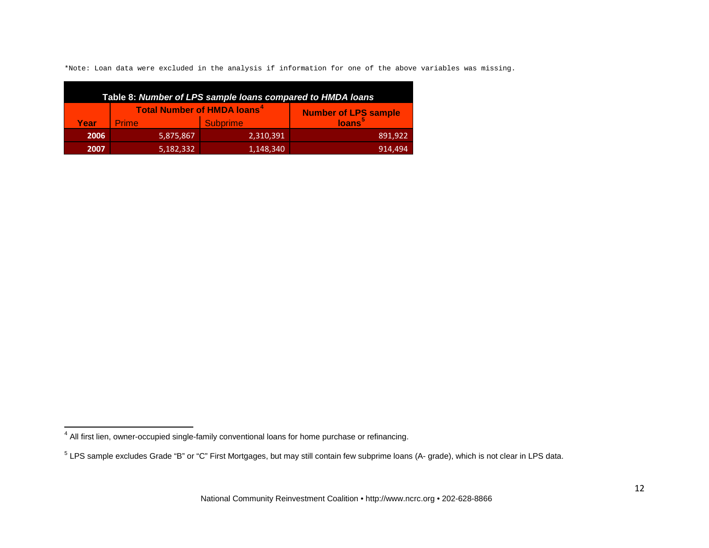<span id="page-11-1"></span><span id="page-11-0"></span>\*Note: Loan data were excluded in the analysis if information for one of the above variables was missing.

| Table 8: Number of LPS sample loans compared to HMDA loans |                                               |                             |                    |  |  |  |  |  |  |  |  |
|------------------------------------------------------------|-----------------------------------------------|-----------------------------|--------------------|--|--|--|--|--|--|--|--|
|                                                            | <b>Total Number of HMDA loans<sup>4</sup></b> | <b>Number of LPS sample</b> |                    |  |  |  |  |  |  |  |  |
| Year                                                       | <b>Prime</b>                                  | <b>Subprime</b>             | loans <sup>5</sup> |  |  |  |  |  |  |  |  |
| 2006                                                       | 5,875,867                                     | 2,310,391                   | 891,922            |  |  |  |  |  |  |  |  |
| 2007                                                       | 5,182,332                                     | 1,148,340                   | 914.494            |  |  |  |  |  |  |  |  |

ı

 $^4$  All first lien, owner-occupied single-family conventional loans for home purchase or refinancing.

<sup>5</sup> LPS sample excludes Grade "B" or "C" First Mortgages, but may still contain few subprime loans (A- grade), which is not clear in LPS data.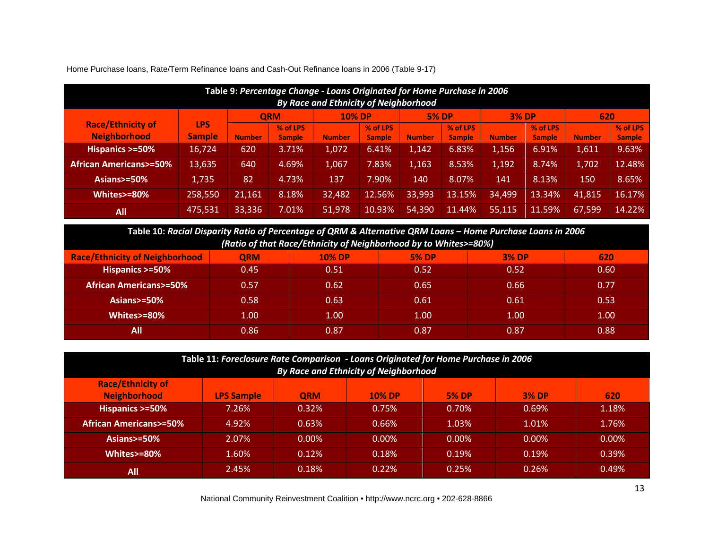| Table 9: Percentage Change - Loans Originated for Home Purchase in 2006<br><b>By Race and Ethnicity of Neighborhood</b> |               |               |               |               |               |               |               |               |               |               |               |  |
|-------------------------------------------------------------------------------------------------------------------------|---------------|---------------|---------------|---------------|---------------|---------------|---------------|---------------|---------------|---------------|---------------|--|
|                                                                                                                         |               |               | <b>ORM</b>    | <b>10% DP</b> |               | <b>5% DP</b>  |               | <b>3% DP</b>  |               | 620           |               |  |
| <b>Race/Ethnicity of</b>                                                                                                | <b>LPS</b>    |               | % of LPS      |               | % of LPS      |               | % of LPS      |               | % of LPS      |               | % of LPS      |  |
| <b>Neighborhood</b>                                                                                                     | <b>Sample</b> | <b>Number</b> | <b>Sample</b> | <b>Number</b> | <b>Sample</b> | <b>Number</b> | <b>Sample</b> | <b>Number</b> | <b>Sample</b> | <b>Number</b> | <b>Sample</b> |  |
| Hispanics >=50%                                                                                                         | 16,724        | 620           | 3.71%         | 1.072         | 6.41%         | 1.142         | 6.83%         | 1,156         | 6.91%         | 1,611         | 9.63%         |  |
| <b>African Americans&gt;=50%</b>                                                                                        | 13,635        | 640           | 4.69%         | 1,067         | 7.83%         | 1,163         | 8.53%         | 1,192         | 8.74%         | 1,702         | 12.48%        |  |
| Asians>=50%                                                                                                             | 1,735         | 82            | 4.73%         | 137           | 7.90%         | 140           | 8.07%         | 141           | 8.13%         | 150           | 8.65%         |  |
| Whites>=80%                                                                                                             | 258,550       | 21,161        | 8.18%         | 32,482        | 12.56%        | 33,993        | 13.15%        | 34,499        | 13.34%        | 41,815        | 16.17%        |  |
| <b>All</b>                                                                                                              | 475,531       | 33,336        | 7.01%         | 51,978        | 10.93%        | 54,390        | 11.44%        | 55,115        | 11.59%        | 67,599        | 14.22%        |  |

Home Purchase loans, Rate/Term Refinance loans and Cash-Out Refinance loans in 2006 (Table 9-17)

**Table 10:** *Racial Disparity Ratio of Percentage of QRM & Alternative QRM Loans – Home Purchase Loans in 2006 (Ratio of that Race/Ethnicity of Neighborhood by to Whites>=80%)*

| $\mu$ and $\sigma$ and there commently by the group of the commuters $\sigma$ being |            |               |              |              |      |  |  |  |  |  |  |  |
|-------------------------------------------------------------------------------------|------------|---------------|--------------|--------------|------|--|--|--|--|--|--|--|
| <b>Race/Ethnicity of Neighborhood</b>                                               | <b>QRM</b> | <b>10% DP</b> | <b>5% DP</b> | <b>3% DP</b> | 620  |  |  |  |  |  |  |  |
| Hispanics >=50%                                                                     | 0.45       | 0.51          | 0.52         | 0.52         | 0.60 |  |  |  |  |  |  |  |
| <b>African Americans&gt;=50%</b>                                                    | 0.57       | 0.62          | 0.65         | 0.66         | 0.77 |  |  |  |  |  |  |  |
| Asians $\ge$ =50%                                                                   | 0.58       | 0.63          | 0.61         | 0.61         | 0.53 |  |  |  |  |  |  |  |
| Whites>=80%                                                                         | 1.00       | 1.00          | 1.00         | 1.00         | 1.00 |  |  |  |  |  |  |  |
| All                                                                                 | 0.86       | 0.87          | 0.87         | 0.87         | 0.88 |  |  |  |  |  |  |  |

| Table 11: Foreclosure Rate Comparison - Loans Originated for Home Purchase in 2006<br><b>By Race and Ethnicity of Neighborhood</b> |                   |            |               |              |              |          |  |  |  |  |  |
|------------------------------------------------------------------------------------------------------------------------------------|-------------------|------------|---------------|--------------|--------------|----------|--|--|--|--|--|
| <b>Race/Ethnicity of</b><br><b>Neighborhood</b>                                                                                    | <b>LPS Sample</b> | <b>ORM</b> | <b>10% DP</b> | <b>5% DP</b> | <b>3% DP</b> | 620      |  |  |  |  |  |
| Hispanics >=50%                                                                                                                    | 7.26%             | 0.32%      | 0.75%         | 0.70%        | 0.69%        | 1.18%    |  |  |  |  |  |
| <b>African Americans&gt;=50%</b>                                                                                                   | 4.92%             | 0.63%      | 0.66%         | 1.03%        | 1.01%        | 1.76%    |  |  |  |  |  |
| Asians $>=50\%$                                                                                                                    | 2.07%             | $0.00\%$   | $0.00\%$      | $0.00\%$     | $0.00\%$     | $0.00\%$ |  |  |  |  |  |
| Whites>=80%                                                                                                                        | 1.60%             | 0.12%      | 0.18%         | 0.19%        | 0.19%        | 0.39%    |  |  |  |  |  |
| All                                                                                                                                | 2.45%             | 0.18%      | 0.22%         | 0.25%        | 0.26%        | 0.49%    |  |  |  |  |  |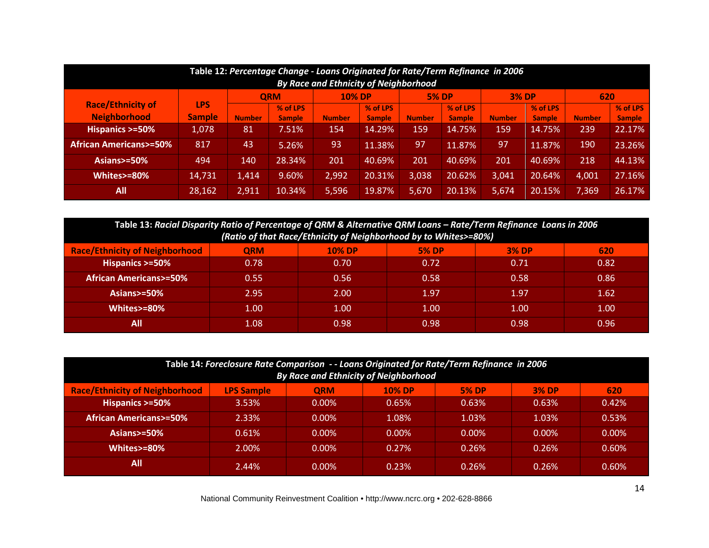| Table 12: Percentage Change - Loans Originated for Rate/Term Refinance in 2006<br><b>By Race and Ethnicity of Neighborhood</b> |               |                                                             |               |               |               |               |               |               |               |               |               |  |
|--------------------------------------------------------------------------------------------------------------------------------|---------------|-------------------------------------------------------------|---------------|---------------|---------------|---------------|---------------|---------------|---------------|---------------|---------------|--|
|                                                                                                                                |               | <b>5% DP</b><br><b>3% DP</b><br><b>10% DP</b><br><b>ORM</b> |               |               |               |               |               |               |               |               | 620           |  |
| <b>Race/Ethnicity of</b>                                                                                                       | <b>LPS</b>    |                                                             | % of LPS      |               | % of LPS      |               | % of LPS      |               | % of LPS      |               | % of LPS      |  |
| <b>Neighborhood</b>                                                                                                            | <b>Sample</b> | <b>Number</b>                                               | <b>Sample</b> | <b>Number</b> | <b>Sample</b> | <b>Number</b> | <b>Sample</b> | <b>Number</b> | <b>Sample</b> | <b>Number</b> | <b>Sample</b> |  |
| Hispanics >=50%                                                                                                                | 1,078         | 81                                                          | 7.51%         | 154           | 14.29%        | 159           | 14.75%        | 159           | 14.75%        | 239           | 22.17%        |  |
| <b>African Americans&gt;=50%</b>                                                                                               | 817           | 43                                                          | 5.26%         | 93            | 11.38%        | 97            | 11.87%        | 97            | 11.87%        | 190           | 23.26%        |  |
| Asians $>=50\%$                                                                                                                | 494           | 140                                                         | 28.34%        | 201           | 40.69%        | 201           | 40.69%        | 201           | 40.69%        | 218           | 44.13%        |  |
| Whites>=80%                                                                                                                    | 14,731        | 1,414                                                       | 9.60%         | 2,992         | 20.31%        | 3,038         | 20.62%        | 3,041         | 20.64%        | 4,001         | 27.16%        |  |
| All                                                                                                                            | 28,162        | 2,911                                                       | 10.34%        | 5,596         | 19.87%        | 5.670         | 20.13%        | 5,674         | 20.15%        | 7,369         | 26.17%        |  |

| Table 13: Racial Disparity Ratio of Percentage of QRM & Alternative QRM Loans - Rate/Term Refinance Loans in 2006<br>(Ratio of that Race/Ethnicity of Neighborhood by to Whites>=80%) |            |               |              |              |      |  |  |  |  |
|---------------------------------------------------------------------------------------------------------------------------------------------------------------------------------------|------------|---------------|--------------|--------------|------|--|--|--|--|
| <b>Race/Ethnicity of Neighborhood</b>                                                                                                                                                 | <b>QRM</b> | <b>10% DP</b> | <b>5% DP</b> | <b>3% DP</b> | 620  |  |  |  |  |
| Hispanics >=50%                                                                                                                                                                       | 0.78       | 0.70          | 0.72         | 0.71         | 0.82 |  |  |  |  |
| <b>African Americans&gt;=50%</b>                                                                                                                                                      | 0.55       | 0.56          | 0.58         | 0.58         | 0.86 |  |  |  |  |
| Asians $>=50\%$                                                                                                                                                                       | 2.95       | 2.00          | 1.97         | 1.97         | 1.62 |  |  |  |  |
| Whites>=80%                                                                                                                                                                           | 1.00       | 1.00          | 1.00         | 1.00         | 1.00 |  |  |  |  |
| All                                                                                                                                                                                   | 1.08       | 0.98          | 0.98         | 0.98         | 0.96 |  |  |  |  |

| Table 14: Foreclosure Rate Comparison -- Loans Originated for Rate/Term Refinance in 2006 |                   |            |               |              |              |          |  |  |  |  |
|-------------------------------------------------------------------------------------------|-------------------|------------|---------------|--------------|--------------|----------|--|--|--|--|
| <b>By Race and Ethnicity of Neighborhood</b>                                              |                   |            |               |              |              |          |  |  |  |  |
| <b>Race/Ethnicity of Neighborhood</b>                                                     | <b>LPS Sample</b> | <b>QRM</b> | <b>10% DP</b> | <b>5% DP</b> | <b>3% DP</b> | 620      |  |  |  |  |
| Hispanics >=50%                                                                           | 3.53%             | $0.00\%$   | 0.65%         | 0.63%        | 0.63%        | 0.42%    |  |  |  |  |
| <b>African Americans&gt;=50%</b>                                                          | 2.33%             | $0.00\%$   | 1.08%         | 1.03%        | 1.03%        | 0.53%    |  |  |  |  |
| Asians>=50%                                                                               | 0.61%             | $0.00\%$   | $0.00\%$      | $0.00\%$     | $0.00\%$     | $0.00\%$ |  |  |  |  |
| Whites>=80%                                                                               | 2.00%             | $0.00\%$   | $0.27\%$      | 0.26%        | 0.26%        | $0.60\%$ |  |  |  |  |
| All                                                                                       | 2.44%             | $0.00\%$   | 0.23%         | 0.26%        | 0.26%        | 0.60%    |  |  |  |  |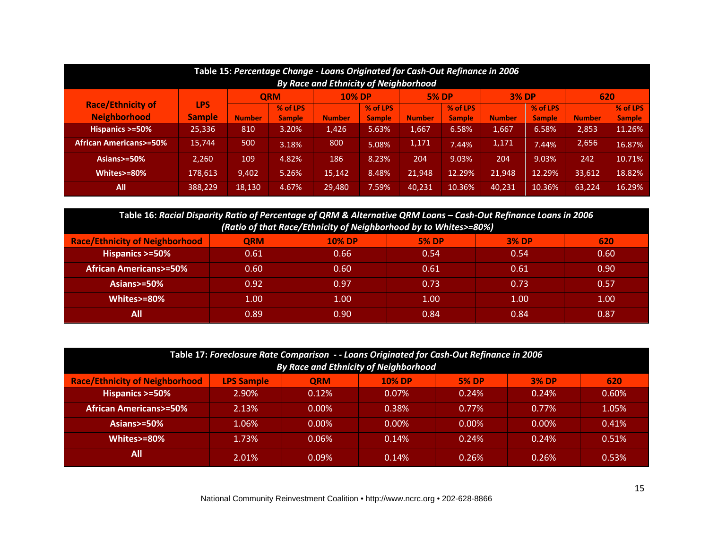| Table 15: Percentage Change - Loans Originated for Cash-Out Refinance in 2006<br><b>By Race and Ethnicity of Neighborhood</b> |               |               |               |               |               |               |               |               |               |               |               |
|-------------------------------------------------------------------------------------------------------------------------------|---------------|---------------|---------------|---------------|---------------|---------------|---------------|---------------|---------------|---------------|---------------|
|                                                                                                                               |               | <b>QRM</b>    |               |               | <b>10% DP</b> |               | <b>5% DP</b>  |               | <b>3% DP</b>  | 620           |               |
| <b>Race/Ethnicity of</b>                                                                                                      | <b>LPS</b>    |               | % of LPS      |               | % of LPS      |               | % of LPS      |               | % of LPS      |               | % of LPS      |
| <b>Neighborhood</b>                                                                                                           | <b>Sample</b> | <b>Number</b> | <b>Sample</b> | <b>Number</b> | <b>Sample</b> | <b>Number</b> | <b>Sample</b> | <b>Number</b> | <b>Sample</b> | <b>Number</b> | <b>Sample</b> |
| Hispanics >=50%                                                                                                               | 25,336        | 810           | 3.20%         | 1,426         | 5.63%         | 1,667         | 6.58%         | 1,667         | 6.58%         | 2,853         | 11.26%        |
| <b>African Americans&gt;=50%</b>                                                                                              | 15,744        | 500           | 3.18%         | 800           | 5.08%         | 1,171         | 7.44%         | 1,171         | 7.44%         | 2,656         | 16.87%        |
| Asians $>=50\%$                                                                                                               | 2.260         | 109           | 4.82%         | 186           | 8.23%         | 204           | 9.03%         | 204           | 9.03%         | 242           | 10.71%        |
| Whites>=80%                                                                                                                   | 178,613       | 9,402         | 5.26%         | 15,142        | 8.48%         | 21,948        | 12.29%        | 21,948        | 12.29%        | 33,612        | 18.82%        |
| All                                                                                                                           | 388.229       | 18,130        | 4.67%         | 29,480        | 7.59%         | 40,231        | 10.36%        | 40,231        | 10.36%        | 63,224        | 16.29%        |

| Table 16: Racial Disparity Ratio of Percentage of QRM & Alternative QRM Loans - Cash-Out Refinance Loans in 2006 |            |               |                   |              |      |  |  |  |  |  |
|------------------------------------------------------------------------------------------------------------------|------------|---------------|-------------------|--------------|------|--|--|--|--|--|
| (Ratio of that Race/Ethnicity of Neighborhood by to Whites>=80%)                                                 |            |               |                   |              |      |  |  |  |  |  |
| <b>Race/Ethnicity of Neighborhood</b>                                                                            | <b>ORM</b> | <b>10% DP</b> | <b>5% DP</b>      | <b>3% DP</b> | 620  |  |  |  |  |  |
| Hispanics >=50%                                                                                                  | 0.61       | 0.66          | 0.54              | 0.54         | 0.60 |  |  |  |  |  |
| <b>African Americans&gt;=50%</b>                                                                                 | 0.60       | 0.60          | 0.61              | 0.61         | 0.90 |  |  |  |  |  |
| Asians $>=50\%$                                                                                                  | 0.92       | 0.97          | 0.73              | 0.73         | 0.57 |  |  |  |  |  |
| Whites>=80%                                                                                                      | 1.00       | 1.00          | 1.00 <sub>1</sub> | 1.00         | 1.00 |  |  |  |  |  |
| All                                                                                                              | 0.89       | 0.90          | 0.84              | 0.84         | 0.87 |  |  |  |  |  |

| Table 17: Foreclosure Rate Comparison -- Loans Originated for Cash-Out Refinance in 2006 |                   |            |               |              |              |       |  |  |  |  |
|------------------------------------------------------------------------------------------|-------------------|------------|---------------|--------------|--------------|-------|--|--|--|--|
| <b>By Race and Ethnicity of Neighborhood</b>                                             |                   |            |               |              |              |       |  |  |  |  |
| <b>Race/Ethnicity of Neighborhood</b>                                                    | <b>LPS Sample</b> | <b>QRM</b> | <b>10% DP</b> | <b>5% DP</b> | <b>3% DP</b> | 620   |  |  |  |  |
| Hispanics >=50%                                                                          | 2.90%             | 0.12%      | $0.07\%$      | 0.24%        | 0.24%        | 0.60% |  |  |  |  |
| <b>African Americans&gt;=50%</b>                                                         | 2.13%             | $0.00\%$   | 0.38%         | $0.77\%$     | $0.77\%$     | 1.05% |  |  |  |  |
| Asians $> = 50\%$                                                                        | $1.06\%$          | $0.00\%$   | $0.00\%$      | $0.00\%$     | $0.00\%$     | 0.41% |  |  |  |  |
| Whites>=80%                                                                              | 1.73%             | $0.06\%$   | 0.14%         | 0.24%        | 0.24%        | 0.51% |  |  |  |  |
| All                                                                                      | 2.01%             | 0.09%      | 0.14%         | 0.26%        | 0.26%        | 0.53% |  |  |  |  |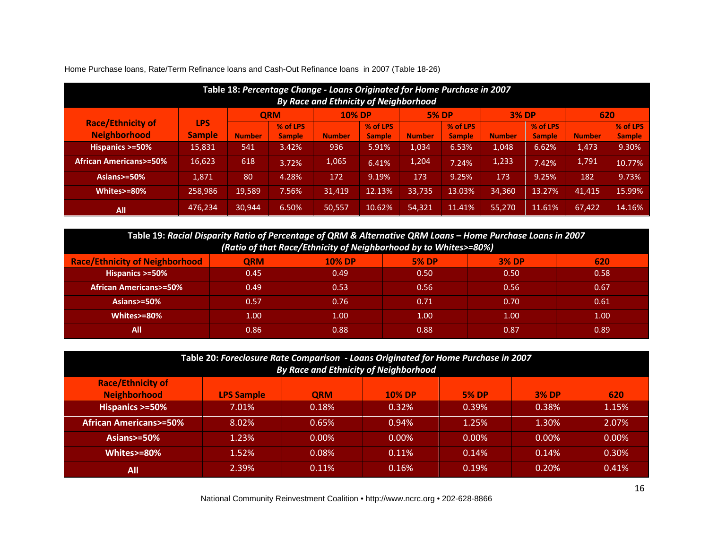| Table 18: Percentage Change - Loans Originated for Home Purchase in 2007<br>By Race and Ethnicity of Neighborhood |               |               |               |               |               |               |               |               |               |               |               |
|-------------------------------------------------------------------------------------------------------------------|---------------|---------------|---------------|---------------|---------------|---------------|---------------|---------------|---------------|---------------|---------------|
|                                                                                                                   |               |               | <b>ORM</b>    | <b>10% DP</b> |               | <b>5% DP</b>  |               | <b>3% DP</b>  |               | 620           |               |
| <b>Race/Ethnicity of</b>                                                                                          | <b>LPS</b>    |               | % of LPS      |               | % of LPS      |               | % of LPS      |               | % of LPS      |               | % of LPS      |
| <b>Neighborhood</b>                                                                                               | <b>Sample</b> | <b>Number</b> | <b>Sample</b> | <b>Number</b> | <b>Sample</b> | <b>Number</b> | <b>Sample</b> | <b>Number</b> | <b>Sample</b> | <b>Number</b> | <b>Sample</b> |
| Hispanics >=50%                                                                                                   | 15,831        | 541           | 3.42%         | 936           | 5.91%         | 1,034         | 6.53%         | 1,048         | 6.62%         | 1,473         | 9.30%         |
| <b>African Americans&gt;=50%</b>                                                                                  | 16,623        | 618           | 3.72%         | 1,065         | 6.41%         | 1,204         | 7.24%         | 1,233         | 7.42%         | 1,791         | 10.77%        |
| Asians $>=50\%$                                                                                                   | 1.871         | 80            | 4.28%         | 172           | 9.19%         | 173           | 9.25%         | 173           | 9.25%         | 182           | 9.73%         |
| Whites>=80%                                                                                                       | 258,986       | 19,589        | 7.56%         | 31.419        | 12.13%        | 33,735        | 13.03%        | 34,360        | 13.27%        | 41.415        | 15.99%        |
| <b>All</b>                                                                                                        | 476,234       | 30.944        | 6.50%         | 50,557        | 10.62%        | 54,321        | 11.41%        | 55,270        | 11.61%        | 67,422        | 14.16%        |

Home Purchase loans, Rate/Term Refinance loans and Cash-Out Refinance loans in 2007 (Table 18-26)

| Table 19: Racial Disparity Ratio of Percentage of QRM & Alternative QRM Loans – Home Purchase Loans in 2007 |  |
|-------------------------------------------------------------------------------------------------------------|--|
| (Ratio of that Race/Ethnicity of Neighborhood by to Whites>=80%)                                            |  |

| ____                                  |            |               |              |              |      |  |  |  |  |  |
|---------------------------------------|------------|---------------|--------------|--------------|------|--|--|--|--|--|
| <b>Race/Ethnicity of Neighborhood</b> | <b>QRM</b> | <b>10% DP</b> | <b>5% DP</b> | <b>3% DP</b> | 620  |  |  |  |  |  |
| Hispanics >=50%                       | 0.45       | 0.49          | 0.50         | 0.50         | 0.58 |  |  |  |  |  |
| <b>African Americans&gt;=50%</b>      | 0.49       | 0.53          | 0.56         | 0.56         | 0.67 |  |  |  |  |  |
| Asians>=50%                           | 0.57       | 0.76          | 0.71         | 0.70         | 0.61 |  |  |  |  |  |
| Whites>=80%                           | 1.00       | 1.00          | 1.00         | 1.00         | 1.00 |  |  |  |  |  |
| All                                   | 0.86       | 0.88          | 0.88         | 0.87         | 0.89 |  |  |  |  |  |

| Table 20: Foreclosure Rate Comparison - Loans Originated for Home Purchase in 2007<br><b>By Race and Ethnicity of Neighborhood</b> |                   |            |               |              |              |          |  |  |  |  |
|------------------------------------------------------------------------------------------------------------------------------------|-------------------|------------|---------------|--------------|--------------|----------|--|--|--|--|
| <b>Race/Ethnicity of</b><br><b>Neighborhood</b>                                                                                    | <b>LPS Sample</b> | <b>ORM</b> | <b>10% DP</b> | <b>5% DP</b> | <b>3% DP</b> | 620      |  |  |  |  |
| Hispanics >=50%                                                                                                                    | 7.01%             | 0.18%      | 0.32%         | 0.39%        | 0.38%        | 1.15%    |  |  |  |  |
| <b>African Americans&gt;=50%</b>                                                                                                   | 8.02%             | 0.65%      | 0.94%         | 1.25%        | 1.30%        | 2.07%    |  |  |  |  |
| Asians $> = 50\%$                                                                                                                  | 1.23%             | $0.00\%$   | $0.00\%$      | $0.00\%$     | $0.00\%$     | $0.00\%$ |  |  |  |  |
| Whites>=80%                                                                                                                        | 1.52%             | 0.08%      | 0.11%         | 0.14%        | 0.14%        | 0.30%    |  |  |  |  |
| All                                                                                                                                | 2.39%             | 0.11%      | 0.16%         | 0.19%        | 0.20%        | 0.41%    |  |  |  |  |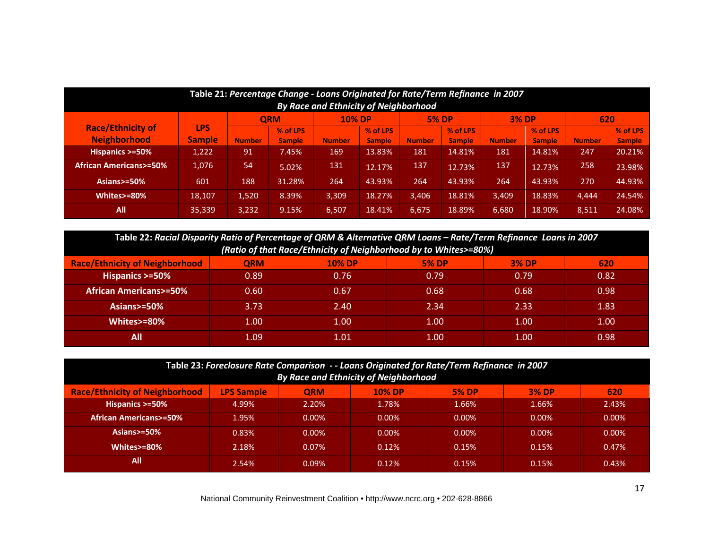| Table 21: Percentage Change - Loans Originated for Rate/Term Refinance in 2007 |               |               |                        |               |               |               |               |               |               |               |               |
|--------------------------------------------------------------------------------|---------------|---------------|------------------------|---------------|---------------|---------------|---------------|---------------|---------------|---------------|---------------|
| By Race and Ethnicity of Neighborhood                                          |               |               |                        |               |               |               |               |               |               |               |               |
| <b>Race/Ethnicity of</b>                                                       | <b>LPS</b>    |               | <b>ORM</b><br>% of LPS | <b>10% DP</b> | % of LPS      | <b>5% DP</b>  | % of LPS      | <b>3% DP</b>  | % of LPS      | 620           | % of LPS      |
| <b>Neighborhood</b>                                                            | <b>Sample</b> | <b>Number</b> | <b>Sample</b>          | <b>Number</b> | <b>Sample</b> | <b>Number</b> | <b>Sample</b> | <b>Number</b> | <b>Sample</b> | <b>Number</b> | <b>Sample</b> |
| Hispanics >=50%                                                                | 1,222         | 91            | 7.45%                  | 169           | 13.83%        | 181           | 14.81%        | 181           | 14.81%        | 247           | 20.21%        |
| <b>African Americans&gt;=50%</b>                                               | 1,076         | 54            | 5.02%                  | 131           | 12.17%        | 137           | 12.73%        | 137           | 12.73%        | 258           | 23.98%        |
| Asians $>=50\%$                                                                | 601           | 188           | 31.28%                 | 264           | 43.93%        | 264           | 43.93%        | 264           | 43.93%        | 270           | 44.93%        |
| Whites>=80%                                                                    | 18,107        | 1,520         | 8.39%                  | 3,309         | 18.27%        | 3,406         | 18.81%        | 3,409         | 18.83%        | 4,444         | 24.54%        |
| All                                                                            | 35,339        | 3,232         | 9.15%                  | 6,507         | 18.41%        | 6,675         | 18.89%        | 6.680         | 18.90%        | 8,511         | 24.08%        |

| Table 22: Racial Disparity Ratio of Percentage of QRM & Alternative QRM Loans - Rate/Term Refinance Loans in 2007 |            |               |              |              |      |  |  |  |  |  |
|-------------------------------------------------------------------------------------------------------------------|------------|---------------|--------------|--------------|------|--|--|--|--|--|
| (Ratio of that Race/Ethnicity of Neighborhood by to Whites>=80%)                                                  |            |               |              |              |      |  |  |  |  |  |
| <b>Race/Ethnicity of Neighborhood</b>                                                                             | <b>QRM</b> | <b>10% DP</b> | <b>5% DP</b> | <b>3% DP</b> | 620  |  |  |  |  |  |
| Hispanics >=50%                                                                                                   | 0.89       | 0.76          | 0.79         | 0.79         | 0.82 |  |  |  |  |  |
| <b>African Americans&gt;=50%</b>                                                                                  | 0.60       | 0.67          | 0.68         | 0.68         | 0.98 |  |  |  |  |  |
| Asians $>=50\%$                                                                                                   | 3.73       | 2.40          | 2.34         | 2.33         | 1.83 |  |  |  |  |  |
| Whites>=80%                                                                                                       | 1.00       | 1.00          | 1.00         | 1.00         | 1.00 |  |  |  |  |  |
| All                                                                                                               | 1.09       | 1.01          | 1.00         | 1.00         | 0.98 |  |  |  |  |  |

| Table 23: Foreclosure Rate Comparison -- Loans Originated for Rate/Term Refinance in 2007<br><b>By Race and Ethnicity of Neighborhood</b> |       |          |          |          |          |          |  |  |  |  |
|-------------------------------------------------------------------------------------------------------------------------------------------|-------|----------|----------|----------|----------|----------|--|--|--|--|
| <b>Race/Ethnicity of Neighborhood</b><br><b>LPS Sample</b><br><b>10% DP</b><br><b>5% DP</b><br><b>3% DP</b><br>620<br><b>ORM</b>          |       |          |          |          |          |          |  |  |  |  |
| Hispanics >=50%                                                                                                                           | 4.99% | 2.20%    | 1.78%    | 1.66%    | 1.66%    | 2.43%    |  |  |  |  |
| <b>African Americans&gt;=50%</b>                                                                                                          | 1.95% | $0.00\%$ | $0.00\%$ | $0.00\%$ | $0.00\%$ | $0.00\%$ |  |  |  |  |
| Asians $> = 50\%$                                                                                                                         | 0.83% | $0.00\%$ | $0.00\%$ | $0.00\%$ | $0.00\%$ | $0.00\%$ |  |  |  |  |
| Whites>=80%                                                                                                                               | 2.18% | $0.07\%$ | 0.12%    | 0.15%    | 0.15%    | 0.47%    |  |  |  |  |
| All                                                                                                                                       | 2.54% | $0.09\%$ | 0.12%    | 0.15%    | 0.15%    | 0.43%    |  |  |  |  |